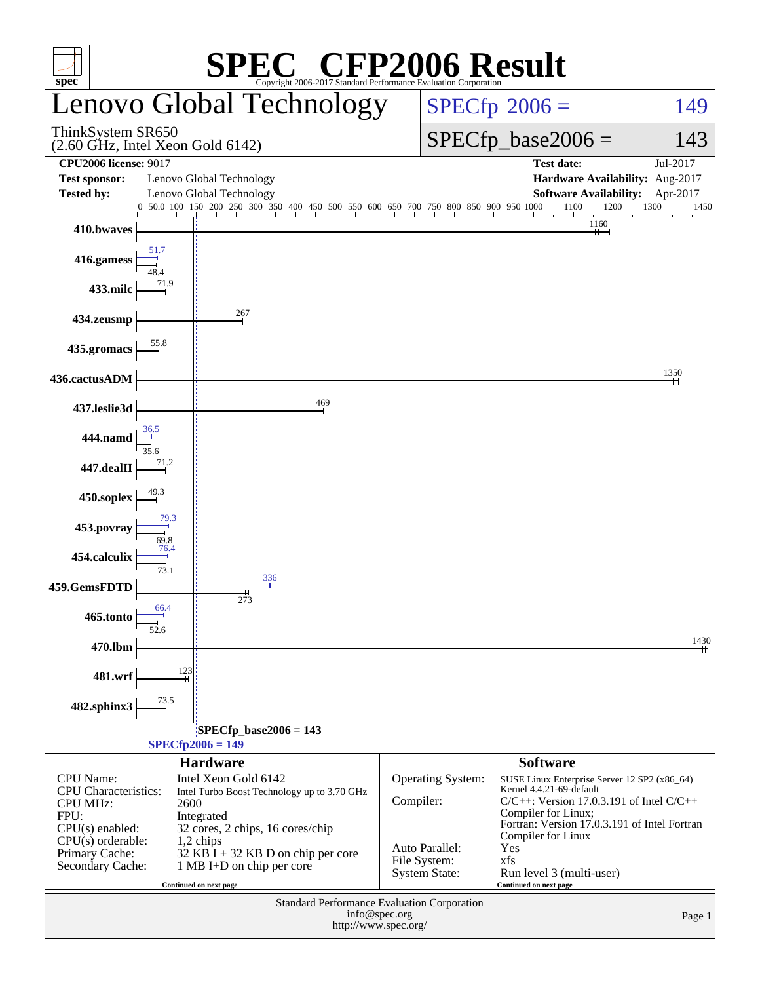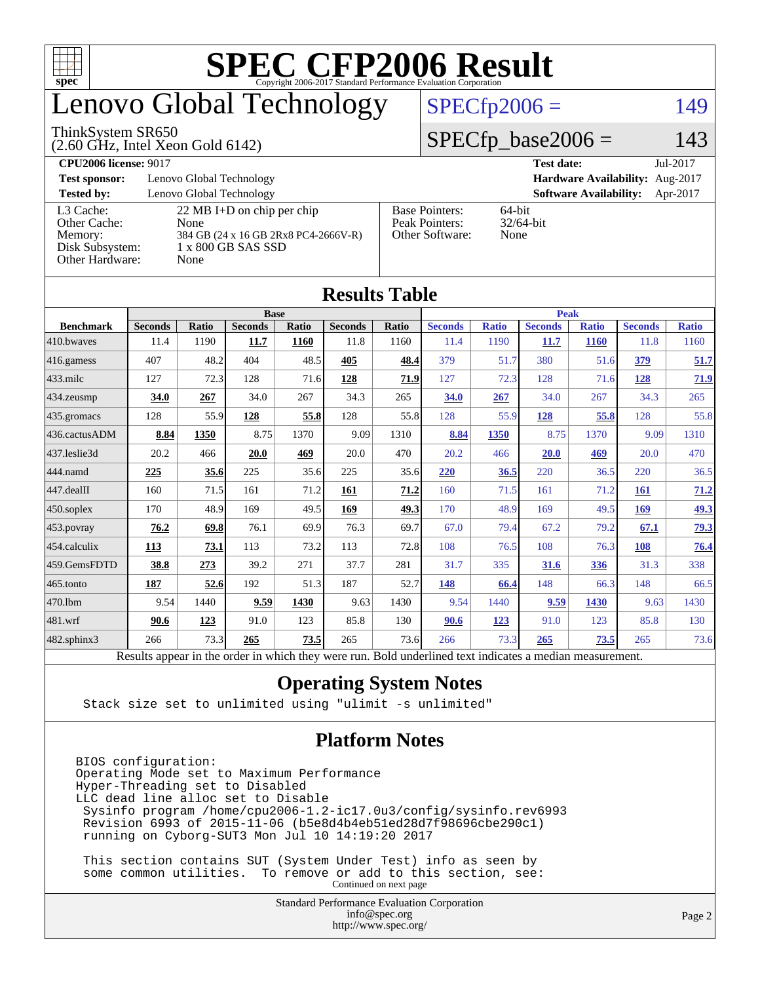

## enovo Global Technology

#### ThinkSystem SR650

(2.60 GHz, Intel Xeon Gold 6142)

#### $SPECfp2006 = 149$  $SPECfp2006 = 149$

#### $SPECfp\_base2006 = 143$

| <b>CPU2006 license: 9017</b>                                               |                                                                                                                    |                                                            | Jul-2017<br><b>Test date:</b>             |  |  |  |
|----------------------------------------------------------------------------|--------------------------------------------------------------------------------------------------------------------|------------------------------------------------------------|-------------------------------------------|--|--|--|
| <b>Test sponsor:</b>                                                       | Lenovo Global Technology                                                                                           | Hardware Availability: Aug-2017                            |                                           |  |  |  |
| <b>Tested by:</b>                                                          | Lenovo Global Technology                                                                                           |                                                            | <b>Software Availability:</b><br>Apr-2017 |  |  |  |
| L3 Cache:<br>Other Cache:<br>Memory:<br>Disk Subsystem:<br>Other Hardware: | $22 \text{ MB I+D}$ on chip per chip<br>None<br>384 GB (24 x 16 GB 2Rx8 PC4-2666V-R)<br>1 x 800 GB SAS SSD<br>None | <b>Base Pointers:</b><br>Peak Pointers:<br>Other Software: | $64$ -bit<br>$32/64$ -bit<br>None         |  |  |  |

| <b>Results Table</b>   |                                                                                                          |       |                |       |                |       |                |              |                |              |                |              |
|------------------------|----------------------------------------------------------------------------------------------------------|-------|----------------|-------|----------------|-------|----------------|--------------|----------------|--------------|----------------|--------------|
|                        | <b>Base</b>                                                                                              |       |                |       |                |       | <b>Peak</b>    |              |                |              |                |              |
| <b>Benchmark</b>       | <b>Seconds</b>                                                                                           | Ratio | <b>Seconds</b> | Ratio | <b>Seconds</b> | Ratio | <b>Seconds</b> | <b>Ratio</b> | <b>Seconds</b> | <b>Ratio</b> | <b>Seconds</b> | <b>Ratio</b> |
| 410.bwayes             | 11.4                                                                                                     | 1190  | 11.7           | 1160  | 11.8           | 1160  | 11.4           | 1190         | 11.7           | <b>1160</b>  | 11.8           | 1160         |
| 416.gamess             | 407                                                                                                      | 48.2  | 404            | 48.5  | 405            | 48.4  | 379            | 51.7         | 380            | 51.6         | 379            | 51.7         |
| $433$ .milc            | 127                                                                                                      | 72.3  | 128            | 71.6  | 128            | 71.9  | 127            | 72.3         | 128            | 71.6         | 128            | 71.9         |
| $434$ . zeusmp         | 34.0                                                                                                     | 267   | 34.0           | 267   | 34.3           | 265   | 34.0           | 267          | 34.0           | 267          | 34.3           | 265          |
| $435.$ gromacs         | 128                                                                                                      | 55.9  | 128            | 55.8  | 128            | 55.8  | 128            | 55.9         | 128            | 55.8         | 128            | 55.8         |
| 436.cactusADM          | 8.84                                                                                                     | 1350  | 8.75           | 1370  | 9.09           | 1310  | 8.84           | 1350         | 8.75           | 1370         | 9.09           | 1310         |
| 437.leslie3d           | 20.2                                                                                                     | 466   | 20.0           | 469   | 20.0           | 470   | 20.2           | 466          | <b>20.0</b>    | 469          | 20.0           | 470          |
| 444.namd               | 225                                                                                                      | 35.6  | 225            | 35.6  | 225            | 35.6  | 220            | 36.5         | 220            | 36.5         | 220            | 36.5         |
| $ 447 \text{.}$ dealII | 160                                                                                                      | 71.5  | 161            | 71.2  | 161            | 71.2  | 160            | 71.5         | 161            | 71.2         | <b>161</b>     | 71.2         |
| $450$ .soplex          | 170                                                                                                      | 48.9  | 169            | 49.5  | 169            | 49.3  | 170            | 48.9         | 169            | 49.5         | 169            | <u>49.3</u>  |
| $453$ .povray          | 76.2                                                                                                     | 69.8  | 76.1           | 69.9  | 76.3           | 69.7  | 67.0           | 79.4         | 67.2           | 79.2         | 67.1           | 79.3         |
| 454.calculix           | 113                                                                                                      | 73.1  | 113            | 73.2  | 113            | 72.8  | 108            | 76.5         | 108            | 76.3         | 108            | 76.4         |
| 459.GemsFDTD           | 38.8                                                                                                     | 273   | 39.2           | 271   | 37.7           | 281   | 31.7           | 335          | 31.6           | 336          | 31.3           | 338          |
| 465.tonto              | 187                                                                                                      | 52.6  | 192            | 51.3  | 187            | 52.7  | 148            | 66.4         | 148            | 66.3         | 148            | 66.5         |
| 470.1bm                | 9.54                                                                                                     | 1440  | 9.59           | 1430  | 9.63           | 1430  | 9.54           | 1440         | 9.59           | 1430         | 9.63           | 1430         |
| 481.wrf                | 90.6                                                                                                     | 123   | 91.0           | 123   | 85.8           | 130   | 90.6           | 123          | 91.0           | 123          | 85.8           | 130          |
| $482$ .sphinx $3$      | 266                                                                                                      | 73.3  | 265            | 73.5  | 265            | 73.6  | 266            | 73.3         | 265            | 73.5         | 265            | 73.6         |
|                        | Results appear in the order in which they were run. Bold underlined text indicates a median measurement. |       |                |       |                |       |                |              |                |              |                |              |

#### **[Operating System Notes](http://www.spec.org/auto/cpu2006/Docs/result-fields.html#OperatingSystemNotes)**

Stack size set to unlimited using "ulimit -s unlimited"

#### **[Platform Notes](http://www.spec.org/auto/cpu2006/Docs/result-fields.html#PlatformNotes)**

BIOS configuration: Operating Mode set to Maximum Performance Hyper-Threading set to Disabled LLC dead line alloc set to Disable Sysinfo program /home/cpu2006-1.2-ic17.0u3/config/sysinfo.rev6993 Revision 6993 of 2015-11-06 (b5e8d4b4eb51ed28d7f98696cbe290c1) running on Cyborg-SUT3 Mon Jul 10 14:19:20 2017

 This section contains SUT (System Under Test) info as seen by some common utilities. To remove or add to this section, see: Continued on next page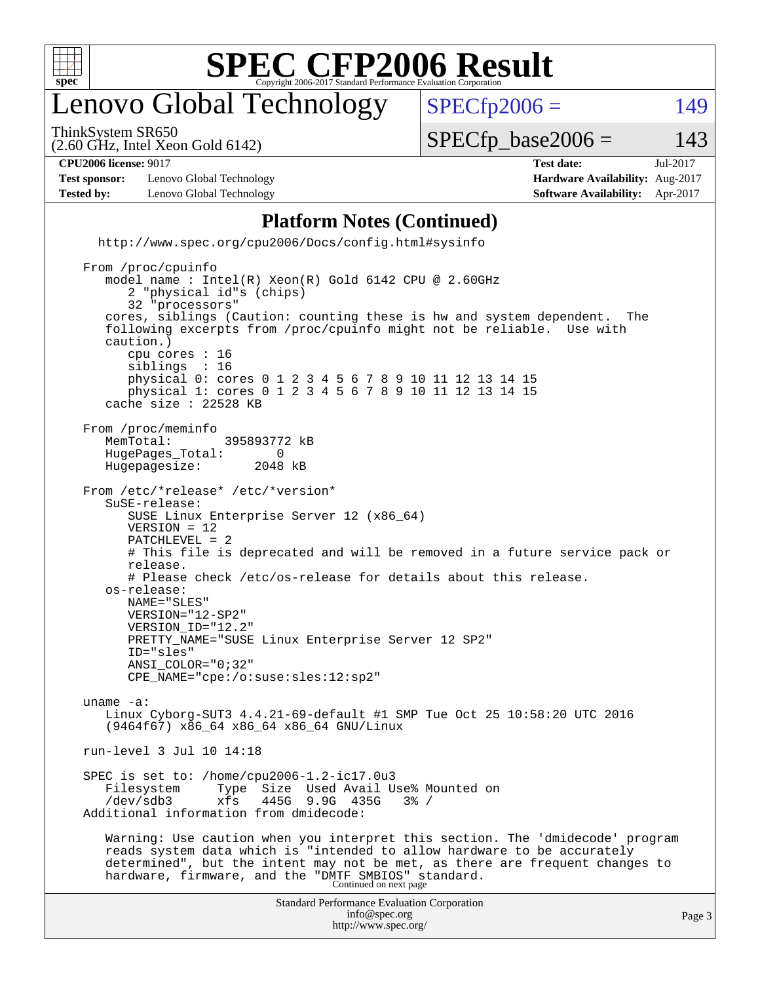

### enovo Global Technology

ThinkSystem SR650

(2.60 GHz, Intel Xeon Gold 6142)

 $SPECTp2006 = 149$ 

 $SPECTp\_base2006 = 143$ 

**[Test sponsor:](http://www.spec.org/auto/cpu2006/Docs/result-fields.html#Testsponsor)** Lenovo Global Technology **[Hardware Availability:](http://www.spec.org/auto/cpu2006/Docs/result-fields.html#HardwareAvailability)** Aug-2017 **[Tested by:](http://www.spec.org/auto/cpu2006/Docs/result-fields.html#Testedby)** Lenovo Global Technology **[Software Availability:](http://www.spec.org/auto/cpu2006/Docs/result-fields.html#SoftwareAvailability)** Apr-2017

**[CPU2006 license:](http://www.spec.org/auto/cpu2006/Docs/result-fields.html#CPU2006license)** 9017 **[Test date:](http://www.spec.org/auto/cpu2006/Docs/result-fields.html#Testdate)** Jul-2017

#### **[Platform Notes \(Continued\)](http://www.spec.org/auto/cpu2006/Docs/result-fields.html#PlatformNotes)**

 <http://www.spec.org/cpu2006/Docs/config.html#sysinfo> From /proc/cpuinfo model name : Intel(R) Xeon(R) Gold 6142 CPU @ 2.60GHz 2 "physical id"s (chips) 32 "processors" cores, siblings (Caution: counting these is hw and system dependent. The following excerpts from /proc/cpuinfo might not be reliable. Use with caution.) cpu cores : 16 siblings : 16 physical 0: cores 0 1 2 3 4 5 6 7 8 9 10 11 12 13 14 15 physical 1: cores 0 1 2 3 4 5 6 7 8 9 10 11 12 13 14 15 cache size : 22528 KB From /proc/meminfo<br>MemTotal: 395893772 kB HugePages\_Total: 0<br>Hugepagesize: 2048 kB Hugepagesize: From /etc/\*release\* /etc/\*version\* SuSE-release: SUSE Linux Enterprise Server 12 (x86\_64) VERSION = 12 PATCHLEVEL = 2 # This file is deprecated and will be removed in a future service pack or release. # Please check /etc/os-release for details about this release. os-release: NAME="SLES" VERSION="12-SP2" VERSION\_ID="12.2" PRETTY\_NAME="SUSE Linux Enterprise Server 12 SP2" ID="sles" ANSI\_COLOR="0;32" CPE\_NAME="cpe:/o:suse:sles:12:sp2"

 uname -a: Linux Cyborg-SUT3 4.4.21-69-default #1 SMP Tue Oct 25 10:58:20 UTC 2016 (9464f67) x86\_64 x86\_64 x86\_64 GNU/Linux

run-level 3 Jul 10 14:18

 SPEC is set to: /home/cpu2006-1.2-ic17.0u3 Filesystem Type Size Used Avail Use% Mounted on /dev/sdb3 xfs 445G 9.9G 435G 3% / Additional information from dmidecode:

 Warning: Use caution when you interpret this section. The 'dmidecode' program reads system data which is "intended to allow hardware to be accurately determined", but the intent may not be met, as there are frequent changes to hardware, firmware, and the "DMTF SMBIOS" standard.<br>Continued on next page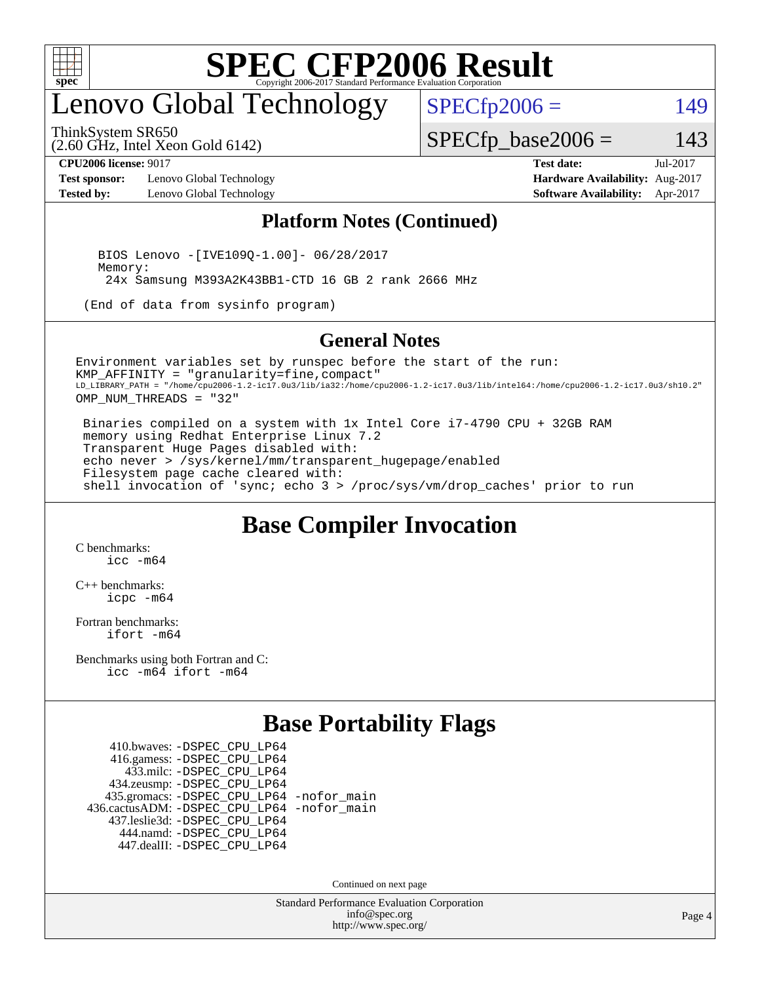

### enovo Global Technology

ThinkSystem SR650

 $SPECfp2006 = 149$  $SPECfp2006 = 149$ 

(2.60 GHz, Intel Xeon Gold 6142)

**[Test sponsor:](http://www.spec.org/auto/cpu2006/Docs/result-fields.html#Testsponsor)** Lenovo Global Technology **[Hardware Availability:](http://www.spec.org/auto/cpu2006/Docs/result-fields.html#HardwareAvailability)** Aug-2017 **[Tested by:](http://www.spec.org/auto/cpu2006/Docs/result-fields.html#Testedby)** Lenovo Global Technology **[Software Availability:](http://www.spec.org/auto/cpu2006/Docs/result-fields.html#SoftwareAvailability)** Apr-2017

**[CPU2006 license:](http://www.spec.org/auto/cpu2006/Docs/result-fields.html#CPU2006license)** 9017 **[Test date:](http://www.spec.org/auto/cpu2006/Docs/result-fields.html#Testdate)** Jul-2017

 $SPECfp\_base2006 = 143$ 

#### **[Platform Notes \(Continued\)](http://www.spec.org/auto/cpu2006/Docs/result-fields.html#PlatformNotes)**

 BIOS Lenovo -[IVE109Q-1.00]- 06/28/2017 Memory: 24x Samsung M393A2K43BB1-CTD 16 GB 2 rank 2666 MHz

(End of data from sysinfo program)

#### **[General Notes](http://www.spec.org/auto/cpu2006/Docs/result-fields.html#GeneralNotes)**

Environment variables set by runspec before the start of the run: KMP\_AFFINITY = "granularity=fine,compact" LD\_LIBRARY\_PATH = "/home/cpu2006-1.2-ic17.0u3/lib/ia32:/home/cpu2006-1.2-ic17.0u3/lib/intel64:/home/cpu2006-1.2-ic17.0u3/sh10.2" OMP NUM THREADS = "32"

 Binaries compiled on a system with 1x Intel Core i7-4790 CPU + 32GB RAM memory using Redhat Enterprise Linux 7.2 Transparent Huge Pages disabled with: echo never > /sys/kernel/mm/transparent\_hugepage/enabled Filesystem page cache cleared with: shell invocation of 'sync; echo 3 > /proc/sys/vm/drop\_caches' prior to run

#### **[Base Compiler Invocation](http://www.spec.org/auto/cpu2006/Docs/result-fields.html#BaseCompilerInvocation)**

[C benchmarks](http://www.spec.org/auto/cpu2006/Docs/result-fields.html#Cbenchmarks): [icc -m64](http://www.spec.org/cpu2006/results/res2017q4/cpu2006-20170918-49771.flags.html#user_CCbase_intel_icc_64bit_bda6cc9af1fdbb0edc3795bac97ada53)

[C++ benchmarks:](http://www.spec.org/auto/cpu2006/Docs/result-fields.html#CXXbenchmarks) [icpc -m64](http://www.spec.org/cpu2006/results/res2017q4/cpu2006-20170918-49771.flags.html#user_CXXbase_intel_icpc_64bit_fc66a5337ce925472a5c54ad6a0de310)

[Fortran benchmarks](http://www.spec.org/auto/cpu2006/Docs/result-fields.html#Fortranbenchmarks): [ifort -m64](http://www.spec.org/cpu2006/results/res2017q4/cpu2006-20170918-49771.flags.html#user_FCbase_intel_ifort_64bit_ee9d0fb25645d0210d97eb0527dcc06e)

[Benchmarks using both Fortran and C](http://www.spec.org/auto/cpu2006/Docs/result-fields.html#BenchmarksusingbothFortranandC): [icc -m64](http://www.spec.org/cpu2006/results/res2017q4/cpu2006-20170918-49771.flags.html#user_CC_FCbase_intel_icc_64bit_bda6cc9af1fdbb0edc3795bac97ada53) [ifort -m64](http://www.spec.org/cpu2006/results/res2017q4/cpu2006-20170918-49771.flags.html#user_CC_FCbase_intel_ifort_64bit_ee9d0fb25645d0210d97eb0527dcc06e)

#### **[Base Portability Flags](http://www.spec.org/auto/cpu2006/Docs/result-fields.html#BasePortabilityFlags)**

 410.bwaves: [-DSPEC\\_CPU\\_LP64](http://www.spec.org/cpu2006/results/res2017q4/cpu2006-20170918-49771.flags.html#suite_basePORTABILITY410_bwaves_DSPEC_CPU_LP64) 416.gamess: [-DSPEC\\_CPU\\_LP64](http://www.spec.org/cpu2006/results/res2017q4/cpu2006-20170918-49771.flags.html#suite_basePORTABILITY416_gamess_DSPEC_CPU_LP64) 433.milc: [-DSPEC\\_CPU\\_LP64](http://www.spec.org/cpu2006/results/res2017q4/cpu2006-20170918-49771.flags.html#suite_basePORTABILITY433_milc_DSPEC_CPU_LP64) 434.zeusmp: [-DSPEC\\_CPU\\_LP64](http://www.spec.org/cpu2006/results/res2017q4/cpu2006-20170918-49771.flags.html#suite_basePORTABILITY434_zeusmp_DSPEC_CPU_LP64) 435.gromacs: [-DSPEC\\_CPU\\_LP64](http://www.spec.org/cpu2006/results/res2017q4/cpu2006-20170918-49771.flags.html#suite_basePORTABILITY435_gromacs_DSPEC_CPU_LP64) [-nofor\\_main](http://www.spec.org/cpu2006/results/res2017q4/cpu2006-20170918-49771.flags.html#user_baseLDPORTABILITY435_gromacs_f-nofor_main) 436.cactusADM: [-DSPEC\\_CPU\\_LP64](http://www.spec.org/cpu2006/results/res2017q4/cpu2006-20170918-49771.flags.html#suite_basePORTABILITY436_cactusADM_DSPEC_CPU_LP64) [-nofor\\_main](http://www.spec.org/cpu2006/results/res2017q4/cpu2006-20170918-49771.flags.html#user_baseLDPORTABILITY436_cactusADM_f-nofor_main) 437.leslie3d: [-DSPEC\\_CPU\\_LP64](http://www.spec.org/cpu2006/results/res2017q4/cpu2006-20170918-49771.flags.html#suite_basePORTABILITY437_leslie3d_DSPEC_CPU_LP64) 444.namd: [-DSPEC\\_CPU\\_LP64](http://www.spec.org/cpu2006/results/res2017q4/cpu2006-20170918-49771.flags.html#suite_basePORTABILITY444_namd_DSPEC_CPU_LP64) 447.dealII: [-DSPEC\\_CPU\\_LP64](http://www.spec.org/cpu2006/results/res2017q4/cpu2006-20170918-49771.flags.html#suite_basePORTABILITY447_dealII_DSPEC_CPU_LP64)

Continued on next page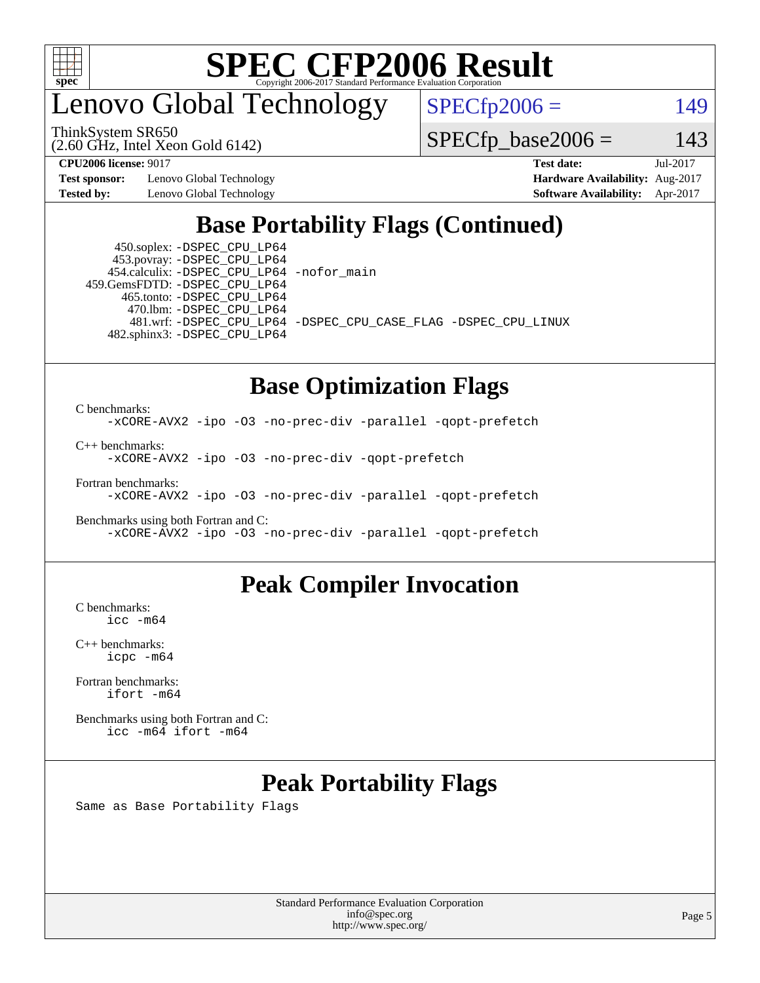

### enovo Global Technology

ThinkSystem SR650

(2.60 GHz, Intel Xeon Gold 6142)

 $SPECfp2006 = 149$  $SPECfp2006 = 149$ 

 $SPECTp\_base2006 = 143$ 

**[Test sponsor:](http://www.spec.org/auto/cpu2006/Docs/result-fields.html#Testsponsor)** Lenovo Global Technology **[Hardware Availability:](http://www.spec.org/auto/cpu2006/Docs/result-fields.html#HardwareAvailability)** Aug-2017

**[CPU2006 license:](http://www.spec.org/auto/cpu2006/Docs/result-fields.html#CPU2006license)** 9017 **[Test date:](http://www.spec.org/auto/cpu2006/Docs/result-fields.html#Testdate)** Jul-2017 **[Tested by:](http://www.spec.org/auto/cpu2006/Docs/result-fields.html#Testedby)** Lenovo Global Technology **[Software Availability:](http://www.spec.org/auto/cpu2006/Docs/result-fields.html#SoftwareAvailability)** Apr-2017

#### **[Base Portability Flags \(Continued\)](http://www.spec.org/auto/cpu2006/Docs/result-fields.html#BasePortabilityFlags)**

 450.soplex: [-DSPEC\\_CPU\\_LP64](http://www.spec.org/cpu2006/results/res2017q4/cpu2006-20170918-49771.flags.html#suite_basePORTABILITY450_soplex_DSPEC_CPU_LP64) 453.povray: [-DSPEC\\_CPU\\_LP64](http://www.spec.org/cpu2006/results/res2017q4/cpu2006-20170918-49771.flags.html#suite_basePORTABILITY453_povray_DSPEC_CPU_LP64) 454.calculix: [-DSPEC\\_CPU\\_LP64](http://www.spec.org/cpu2006/results/res2017q4/cpu2006-20170918-49771.flags.html#suite_basePORTABILITY454_calculix_DSPEC_CPU_LP64) [-nofor\\_main](http://www.spec.org/cpu2006/results/res2017q4/cpu2006-20170918-49771.flags.html#user_baseLDPORTABILITY454_calculix_f-nofor_main) 459.GemsFDTD: [-DSPEC\\_CPU\\_LP64](http://www.spec.org/cpu2006/results/res2017q4/cpu2006-20170918-49771.flags.html#suite_basePORTABILITY459_GemsFDTD_DSPEC_CPU_LP64) 465.tonto: [-DSPEC\\_CPU\\_LP64](http://www.spec.org/cpu2006/results/res2017q4/cpu2006-20170918-49771.flags.html#suite_basePORTABILITY465_tonto_DSPEC_CPU_LP64) 470.lbm: [-DSPEC\\_CPU\\_LP64](http://www.spec.org/cpu2006/results/res2017q4/cpu2006-20170918-49771.flags.html#suite_basePORTABILITY470_lbm_DSPEC_CPU_LP64) 482.sphinx3: [-DSPEC\\_CPU\\_LP64](http://www.spec.org/cpu2006/results/res2017q4/cpu2006-20170918-49771.flags.html#suite_basePORTABILITY482_sphinx3_DSPEC_CPU_LP64)

481.wrf: [-DSPEC\\_CPU\\_LP64](http://www.spec.org/cpu2006/results/res2017q4/cpu2006-20170918-49771.flags.html#suite_basePORTABILITY481_wrf_DSPEC_CPU_LP64) [-DSPEC\\_CPU\\_CASE\\_FLAG](http://www.spec.org/cpu2006/results/res2017q4/cpu2006-20170918-49771.flags.html#b481.wrf_baseCPORTABILITY_DSPEC_CPU_CASE_FLAG) [-DSPEC\\_CPU\\_LINUX](http://www.spec.org/cpu2006/results/res2017q4/cpu2006-20170918-49771.flags.html#b481.wrf_baseCPORTABILITY_DSPEC_CPU_LINUX)

#### **[Base Optimization Flags](http://www.spec.org/auto/cpu2006/Docs/result-fields.html#BaseOptimizationFlags)**

[C benchmarks](http://www.spec.org/auto/cpu2006/Docs/result-fields.html#Cbenchmarks): [-xCORE-AVX2](http://www.spec.org/cpu2006/results/res2017q4/cpu2006-20170918-49771.flags.html#user_CCbase_f-xCORE-AVX2) [-ipo](http://www.spec.org/cpu2006/results/res2017q4/cpu2006-20170918-49771.flags.html#user_CCbase_f-ipo) [-O3](http://www.spec.org/cpu2006/results/res2017q4/cpu2006-20170918-49771.flags.html#user_CCbase_f-O3) [-no-prec-div](http://www.spec.org/cpu2006/results/res2017q4/cpu2006-20170918-49771.flags.html#user_CCbase_f-no-prec-div) [-parallel](http://www.spec.org/cpu2006/results/res2017q4/cpu2006-20170918-49771.flags.html#user_CCbase_f-parallel) [-qopt-prefetch](http://www.spec.org/cpu2006/results/res2017q4/cpu2006-20170918-49771.flags.html#user_CCbase_f-qopt-prefetch)

[C++ benchmarks:](http://www.spec.org/auto/cpu2006/Docs/result-fields.html#CXXbenchmarks)

[-xCORE-AVX2](http://www.spec.org/cpu2006/results/res2017q4/cpu2006-20170918-49771.flags.html#user_CXXbase_f-xCORE-AVX2) [-ipo](http://www.spec.org/cpu2006/results/res2017q4/cpu2006-20170918-49771.flags.html#user_CXXbase_f-ipo) [-O3](http://www.spec.org/cpu2006/results/res2017q4/cpu2006-20170918-49771.flags.html#user_CXXbase_f-O3) [-no-prec-div](http://www.spec.org/cpu2006/results/res2017q4/cpu2006-20170918-49771.flags.html#user_CXXbase_f-no-prec-div) [-qopt-prefetch](http://www.spec.org/cpu2006/results/res2017q4/cpu2006-20170918-49771.flags.html#user_CXXbase_f-qopt-prefetch)

[Fortran benchmarks](http://www.spec.org/auto/cpu2006/Docs/result-fields.html#Fortranbenchmarks):

[-xCORE-AVX2](http://www.spec.org/cpu2006/results/res2017q4/cpu2006-20170918-49771.flags.html#user_FCbase_f-xCORE-AVX2) [-ipo](http://www.spec.org/cpu2006/results/res2017q4/cpu2006-20170918-49771.flags.html#user_FCbase_f-ipo) [-O3](http://www.spec.org/cpu2006/results/res2017q4/cpu2006-20170918-49771.flags.html#user_FCbase_f-O3) [-no-prec-div](http://www.spec.org/cpu2006/results/res2017q4/cpu2006-20170918-49771.flags.html#user_FCbase_f-no-prec-div) [-parallel](http://www.spec.org/cpu2006/results/res2017q4/cpu2006-20170918-49771.flags.html#user_FCbase_f-parallel) [-qopt-prefetch](http://www.spec.org/cpu2006/results/res2017q4/cpu2006-20170918-49771.flags.html#user_FCbase_f-qopt-prefetch)

[Benchmarks using both Fortran and C](http://www.spec.org/auto/cpu2006/Docs/result-fields.html#BenchmarksusingbothFortranandC): [-xCORE-AVX2](http://www.spec.org/cpu2006/results/res2017q4/cpu2006-20170918-49771.flags.html#user_CC_FCbase_f-xCORE-AVX2) [-ipo](http://www.spec.org/cpu2006/results/res2017q4/cpu2006-20170918-49771.flags.html#user_CC_FCbase_f-ipo) [-O3](http://www.spec.org/cpu2006/results/res2017q4/cpu2006-20170918-49771.flags.html#user_CC_FCbase_f-O3) [-no-prec-div](http://www.spec.org/cpu2006/results/res2017q4/cpu2006-20170918-49771.flags.html#user_CC_FCbase_f-no-prec-div) [-parallel](http://www.spec.org/cpu2006/results/res2017q4/cpu2006-20170918-49771.flags.html#user_CC_FCbase_f-parallel) [-qopt-prefetch](http://www.spec.org/cpu2006/results/res2017q4/cpu2006-20170918-49771.flags.html#user_CC_FCbase_f-qopt-prefetch)

#### **[Peak Compiler Invocation](http://www.spec.org/auto/cpu2006/Docs/result-fields.html#PeakCompilerInvocation)**

[C benchmarks](http://www.spec.org/auto/cpu2006/Docs/result-fields.html#Cbenchmarks): [icc -m64](http://www.spec.org/cpu2006/results/res2017q4/cpu2006-20170918-49771.flags.html#user_CCpeak_intel_icc_64bit_bda6cc9af1fdbb0edc3795bac97ada53)

[C++ benchmarks:](http://www.spec.org/auto/cpu2006/Docs/result-fields.html#CXXbenchmarks) [icpc -m64](http://www.spec.org/cpu2006/results/res2017q4/cpu2006-20170918-49771.flags.html#user_CXXpeak_intel_icpc_64bit_fc66a5337ce925472a5c54ad6a0de310)

[Fortran benchmarks](http://www.spec.org/auto/cpu2006/Docs/result-fields.html#Fortranbenchmarks): [ifort -m64](http://www.spec.org/cpu2006/results/res2017q4/cpu2006-20170918-49771.flags.html#user_FCpeak_intel_ifort_64bit_ee9d0fb25645d0210d97eb0527dcc06e)

[Benchmarks using both Fortran and C](http://www.spec.org/auto/cpu2006/Docs/result-fields.html#BenchmarksusingbothFortranandC): [icc -m64](http://www.spec.org/cpu2006/results/res2017q4/cpu2006-20170918-49771.flags.html#user_CC_FCpeak_intel_icc_64bit_bda6cc9af1fdbb0edc3795bac97ada53) [ifort -m64](http://www.spec.org/cpu2006/results/res2017q4/cpu2006-20170918-49771.flags.html#user_CC_FCpeak_intel_ifort_64bit_ee9d0fb25645d0210d97eb0527dcc06e)

#### **[Peak Portability Flags](http://www.spec.org/auto/cpu2006/Docs/result-fields.html#PeakPortabilityFlags)**

Same as Base Portability Flags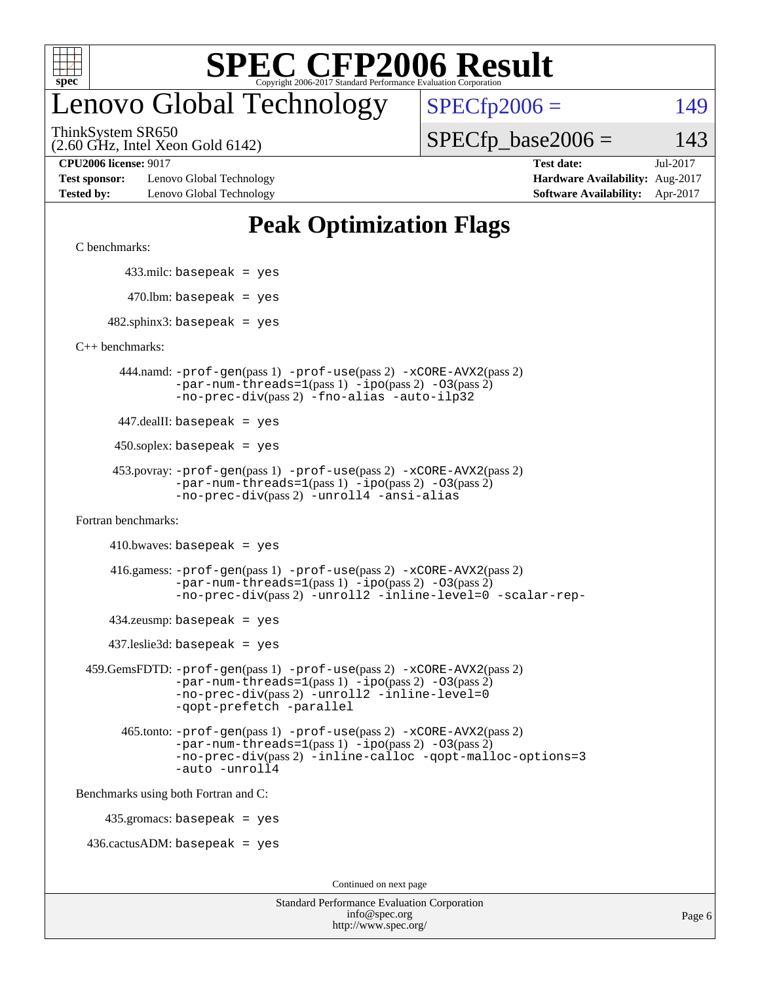

### enovo Global Technology

 $SPECfp2006 = 149$  $SPECfp2006 = 149$ 

(2.60 GHz, Intel Xeon Gold 6142) ThinkSystem SR650

 $SPECTp\_base2006 = 143$ 

**[Test sponsor:](http://www.spec.org/auto/cpu2006/Docs/result-fields.html#Testsponsor)** Lenovo Global Technology **[Hardware Availability:](http://www.spec.org/auto/cpu2006/Docs/result-fields.html#HardwareAvailability)** Aug-2017 **[Tested by:](http://www.spec.org/auto/cpu2006/Docs/result-fields.html#Testedby)** Lenovo Global Technology **[Software Availability:](http://www.spec.org/auto/cpu2006/Docs/result-fields.html#SoftwareAvailability)** Apr-2017

**[CPU2006 license:](http://www.spec.org/auto/cpu2006/Docs/result-fields.html#CPU2006license)** 9017 **[Test date:](http://www.spec.org/auto/cpu2006/Docs/result-fields.html#Testdate)** Jul-2017

#### **[Peak Optimization Flags](http://www.spec.org/auto/cpu2006/Docs/result-fields.html#PeakOptimizationFlags)**

[C benchmarks](http://www.spec.org/auto/cpu2006/Docs/result-fields.html#Cbenchmarks):

433.milc: basepeak = yes

 $470$ .lbm: basepeak = yes

 $482$ .sphinx3: basepeak = yes

[C++ benchmarks:](http://www.spec.org/auto/cpu2006/Docs/result-fields.html#CXXbenchmarks)

 444.namd: [-prof-gen](http://www.spec.org/cpu2006/results/res2017q4/cpu2006-20170918-49771.flags.html#user_peakPASS1_CXXFLAGSPASS1_LDFLAGS444_namd_prof_gen_e43856698f6ca7b7e442dfd80e94a8fc)(pass 1) [-prof-use](http://www.spec.org/cpu2006/results/res2017q4/cpu2006-20170918-49771.flags.html#user_peakPASS2_CXXFLAGSPASS2_LDFLAGS444_namd_prof_use_bccf7792157ff70d64e32fe3e1250b55)(pass 2) [-xCORE-AVX2](http://www.spec.org/cpu2006/results/res2017q4/cpu2006-20170918-49771.flags.html#user_peakPASS2_CXXFLAGSPASS2_LDFLAGS444_namd_f-xCORE-AVX2)(pass 2)  $-par-num-threads=1(pass 1) -ipo(pass 2) -O3(pass 2)$  $-par-num-threads=1(pass 1) -ipo(pass 2) -O3(pass 2)$  $-par-num-threads=1(pass 1) -ipo(pass 2) -O3(pass 2)$  $-par-num-threads=1(pass 1) -ipo(pass 2) -O3(pass 2)$  $-par-num-threads=1(pass 1) -ipo(pass 2) -O3(pass 2)$  $-par-num-threads=1(pass 1) -ipo(pass 2) -O3(pass 2)$ [-no-prec-div](http://www.spec.org/cpu2006/results/res2017q4/cpu2006-20170918-49771.flags.html#user_peakPASS2_CXXFLAGSPASS2_LDFLAGS444_namd_f-no-prec-div)(pass 2) [-fno-alias](http://www.spec.org/cpu2006/results/res2017q4/cpu2006-20170918-49771.flags.html#user_peakCXXOPTIMIZEOPTIMIZE444_namd_f-no-alias_694e77f6c5a51e658e82ccff53a9e63a) [-auto-ilp32](http://www.spec.org/cpu2006/results/res2017q4/cpu2006-20170918-49771.flags.html#user_peakCXXOPTIMIZE444_namd_f-auto-ilp32)

447.dealII: basepeak = yes

 $450$ .soplex: basepeak = yes

```
 453.povray: -prof-gen(pass 1) -prof-use(pass 2) -xCORE-AVX2(pass 2)
-par-num-threads=1-ipo-O3(pass 2)-no-prec-div(pass 2) -unroll4 -ansi-alias
```
[Fortran benchmarks](http://www.spec.org/auto/cpu2006/Docs/result-fields.html#Fortranbenchmarks):

 $410.bwaves: basepeak = yes$ 

 416.gamess: [-prof-gen](http://www.spec.org/cpu2006/results/res2017q4/cpu2006-20170918-49771.flags.html#user_peakPASS1_FFLAGSPASS1_LDFLAGS416_gamess_prof_gen_e43856698f6ca7b7e442dfd80e94a8fc)(pass 1) [-prof-use](http://www.spec.org/cpu2006/results/res2017q4/cpu2006-20170918-49771.flags.html#user_peakPASS2_FFLAGSPASS2_LDFLAGS416_gamess_prof_use_bccf7792157ff70d64e32fe3e1250b55)(pass 2) [-xCORE-AVX2](http://www.spec.org/cpu2006/results/res2017q4/cpu2006-20170918-49771.flags.html#user_peakPASS2_FFLAGSPASS2_LDFLAGS416_gamess_f-xCORE-AVX2)(pass 2)  $-par-num-threads=1(pass 1) -ipo(pass 2) -O3(pass 2)$  $-par-num-threads=1(pass 1) -ipo(pass 2) -O3(pass 2)$  $-par-num-threads=1(pass 1) -ipo(pass 2) -O3(pass 2)$  $-par-num-threads=1(pass 1) -ipo(pass 2) -O3(pass 2)$  $-par-num-threads=1(pass 1) -ipo(pass 2) -O3(pass 2)$  $-par-num-threads=1(pass 1) -ipo(pass 2) -O3(pass 2)$ [-no-prec-div](http://www.spec.org/cpu2006/results/res2017q4/cpu2006-20170918-49771.flags.html#user_peakPASS2_FFLAGSPASS2_LDFLAGS416_gamess_f-no-prec-div)(pass 2) [-unroll2](http://www.spec.org/cpu2006/results/res2017q4/cpu2006-20170918-49771.flags.html#user_peakOPTIMIZE416_gamess_f-unroll_784dae83bebfb236979b41d2422d7ec2) [-inline-level=0](http://www.spec.org/cpu2006/results/res2017q4/cpu2006-20170918-49771.flags.html#user_peakOPTIMIZE416_gamess_f-inline-level_318d07a09274ad25e8d15dbfaa68ba50) [-scalar-rep-](http://www.spec.org/cpu2006/results/res2017q4/cpu2006-20170918-49771.flags.html#user_peakOPTIMIZE416_gamess_f-disablescalarrep_abbcad04450fb118e4809c81d83c8a1d)

 $434$ .zeusmp: basepeak = yes

437.leslie3d: basepeak = yes

```
 459.GemsFDTD: -prof-gen(pass 1) -prof-use(pass 2) -xCORE-AVX2(pass 2)
   -par-num-threads=1-ipo-O3(pass 2)-no-prec-div(pass 2) -unroll2 -inline-level=0
   -qopt-prefetch -parallel
```
 465.tonto: [-prof-gen](http://www.spec.org/cpu2006/results/res2017q4/cpu2006-20170918-49771.flags.html#user_peakPASS1_FFLAGSPASS1_LDFLAGS465_tonto_prof_gen_e43856698f6ca7b7e442dfd80e94a8fc)(pass 1) [-prof-use](http://www.spec.org/cpu2006/results/res2017q4/cpu2006-20170918-49771.flags.html#user_peakPASS2_FFLAGSPASS2_LDFLAGS465_tonto_prof_use_bccf7792157ff70d64e32fe3e1250b55)(pass 2) [-xCORE-AVX2](http://www.spec.org/cpu2006/results/res2017q4/cpu2006-20170918-49771.flags.html#user_peakPASS2_FFLAGSPASS2_LDFLAGS465_tonto_f-xCORE-AVX2)(pass 2)  $-par-num-threads=1(pass 1) -ipo(pass 2) -O3(pass 2)$  $-par-num-threads=1(pass 1) -ipo(pass 2) -O3(pass 2)$  $-par-num-threads=1(pass 1) -ipo(pass 2) -O3(pass 2)$  $-par-num-threads=1(pass 1) -ipo(pass 2) -O3(pass 2)$  $-par-num-threads=1(pass 1) -ipo(pass 2) -O3(pass 2)$  $-par-num-threads=1(pass 1) -ipo(pass 2) -O3(pass 2)$ [-no-prec-div](http://www.spec.org/cpu2006/results/res2017q4/cpu2006-20170918-49771.flags.html#user_peakPASS2_FFLAGSPASS2_LDFLAGS465_tonto_f-no-prec-div)(pass 2) [-inline-calloc](http://www.spec.org/cpu2006/results/res2017q4/cpu2006-20170918-49771.flags.html#user_peakOPTIMIZE465_tonto_f-inline-calloc) [-qopt-malloc-options=3](http://www.spec.org/cpu2006/results/res2017q4/cpu2006-20170918-49771.flags.html#user_peakOPTIMIZE465_tonto_f-qopt-malloc-options_0fcb435012e78f27d57f473818e45fe4) [-auto](http://www.spec.org/cpu2006/results/res2017q4/cpu2006-20170918-49771.flags.html#user_peakOPTIMIZE465_tonto_f-auto) [-unroll4](http://www.spec.org/cpu2006/results/res2017q4/cpu2006-20170918-49771.flags.html#user_peakOPTIMIZE465_tonto_f-unroll_4e5e4ed65b7fd20bdcd365bec371b81f)

[Benchmarks using both Fortran and C](http://www.spec.org/auto/cpu2006/Docs/result-fields.html#BenchmarksusingbothFortranandC):

435.gromacs: basepeak = yes

 $436.cactusADM:basepeak = yes$ 

Continued on next page

| <b>Standard Performance Evaluation Corporation</b> |
|----------------------------------------------------|
| info@spec.org                                      |
| http://www.spec.org/                               |